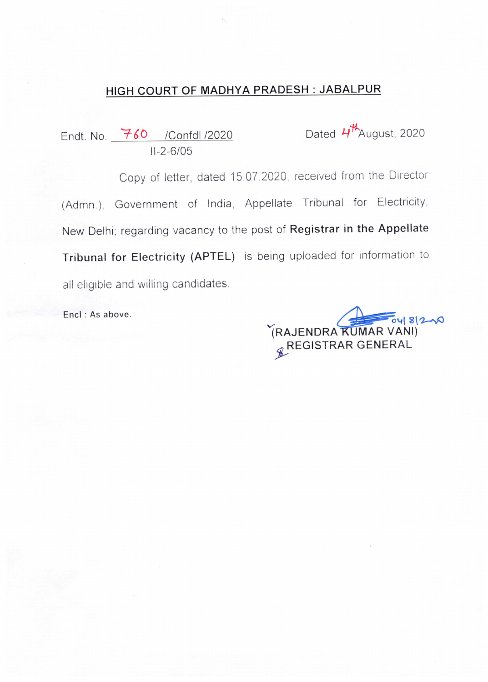# HIGH COURT OF MADHYA PRADESH JABALPUR

Endt. No.  $\frac{760}{100}$  /Confdl /2020 Dated  $4\frac{14}{100}$  Dated  $4\frac{14}{100}$  $11 - 2 - 6/05$ 

Copy of letter, dated 15.07.2020, received from the Director (Admn.), Government of India, Appellate Tribunal for Electricity, New Delhi; regarding vacancy to the post of Registrar in the Appellate Tribunal for Electricity (APTEL) is being uploaded for information to all eligible and willing candidates.

Encl : As above.

RAJENDRA KUMAR VANI) **E**REGISTRAR GENERAL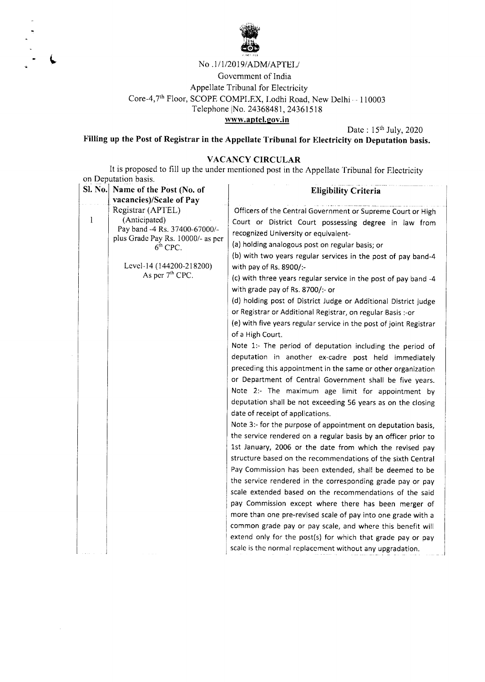

#### No .1/1/2019/ADM/APTEL/

Government of India Appellate Tribunal for Electricity Core-4,7<sup>th</sup> Floor, SCOPE COMPLEX, Lodhi Road, New Delhi - 110003 Telephone |No. 24368481, 24361518 www.aptel.gov.in

Date : 15th July, 2020

Filling up the Post of Registrar in the Appellate Tribunal for Electricity on Deputation basis.

### VACANCY CIRCULAR

It is proposed to fill up the under mentioned post in the Appellate Tribunal for Electricity on Deputation basis.

| <b>Sl. No.</b> | Name of the Post (No. of           | <b>Eligibility Criteria</b>                                        |  |  |
|----------------|------------------------------------|--------------------------------------------------------------------|--|--|
|                | vacancies)/Scale of Pay            |                                                                    |  |  |
| 1              | Registrar (APTEL)<br>(Anticipated) | Officers of the Central Government or Supreme Court or High        |  |  |
|                | Pay band -4 Rs. 37400-67000/-      | Court or District Court possessing degree in law from              |  |  |
|                | plus Grade Pay Rs. 10000/- as per  | recognized University or equivalent-                               |  |  |
|                | $6th$ CPC.                         | (a) holding analogous post on regular basis; or                    |  |  |
|                |                                    | (b) with two years regular services in the post of pay band-4      |  |  |
|                | Level-14 (144200-218200)           | with pay of Rs. 8900/:-                                            |  |  |
|                | As per 7 <sup>th</sup> CPC.        | (c) with three years regular service in the post of pay band -4    |  |  |
|                |                                    | with grade pay of Rs. 8700/:- or                                   |  |  |
|                |                                    | (d) holding post of District Judge or Additional District judge    |  |  |
|                |                                    | or Registrar or Additional Registrar, on regular Basis :- or       |  |  |
|                |                                    | (e) with five years regular service in the post of joint Registrar |  |  |
|                |                                    | of a High Court.                                                   |  |  |
|                |                                    | Note 1:- The period of deputation including the period of          |  |  |
|                |                                    | deputation in another ex-cadre post held immediately               |  |  |
|                |                                    | preceding this appointment in the same or other organization       |  |  |
|                |                                    | or Department of Central Government shall be five years.           |  |  |
|                |                                    | Note 2:- The maximum age limit for appointment by                  |  |  |
|                |                                    | deputation shall be not exceeding 56 years as on the closing       |  |  |
|                |                                    | date of receipt of applications.                                   |  |  |
|                |                                    | Note 3:- for the purpose of appointment on deputation basis,       |  |  |
|                |                                    | the service rendered on a regular basis by an officer prior to     |  |  |
|                |                                    | 1st January, 2006 or the date from which the revised pay           |  |  |
|                |                                    | structure based on the recommendations of the sixth Central        |  |  |
|                |                                    | Pay Commission has been extended, shall be deemed to be            |  |  |
|                |                                    | the service rendered in the corresponding grade pay or pay         |  |  |
|                |                                    | scale extended based on the recommendations of the said            |  |  |
|                |                                    | pay Commission except where there has been merger of               |  |  |
|                |                                    | more than one pre-revised scale of pay into one grade with a       |  |  |
|                |                                    | common grade pay or pay scale, and where this benefit will         |  |  |
|                |                                    | extend only for the post(s) for which that grade pay or pay        |  |  |
|                |                                    | scale is the normal replacement without any upgradation.           |  |  |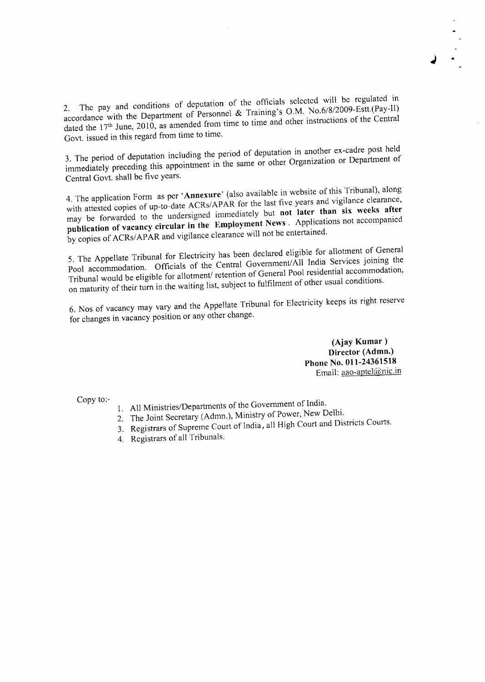2. The pay and conditions of deputation of the officials selected will be regulated in accordance with the Department of Personnel & Training's O.M. No.6/8/2009-Estt.(Pay-ll) dated the 17<sup>th</sup> June, 2010, as amended from time to time and other instructions of the Central Govt. issued in this regard from time to time.

3. The period of deputation including the period of deputation in another ex-cadre post held immediately preceding this appointment in the same or other Organization or Department of Central Govt. shall be fivc years.

4. The application Form as per `Annexure' (also available in website of this Tribunal), along with attested copies of up-to-date ACRs/APAR for the last five years and vigilance clearance, may be forwarded to the undersigned immediately but not later than six weeks after publication of vacancy circular in the Employment News . Applications not accompanied by copies of ACRs/APAR and vigilance clearance will not be entertained.

5. The Appellate Tribunal for Electricity has been declared eligible for allotment of General Pool accommodation. Officials of the Central Government/All India Services joining the Tribunal would be eligible for allotment/ retention of General Pool residential accommodation, on maturity of their turn in the waiting list, subject to fulfilment of other usual conditions.

6. Nos of vacancy may vary and the Appellate Tribunal for Electricity keeps its right reserve for changes in vacancy position or any other change.

> (Ajay Kumar ) Director (Admn.)<br>Phone No. 011-24361518 Email: aao-aptel@nic.in

- Copy to:- All Ministers of the Government of India. All Ministries/De $\mu$ 
	- 2. The Joint Secretary (Admn.), Ministry of Power, New Delhi.
	- 3. Registrars of Supreme Court of India, all High Court and Districts Courts.
	- 4. Registrars of all Tribunals.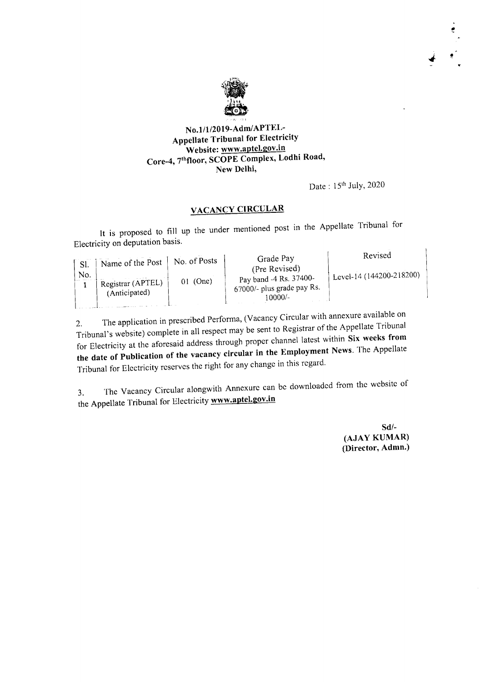

No.1/1/2019-Adm/APTEL-Appellate Tribunal for Electricity<br>Website: www.aptel.gov.in Core-4, 7thfloor, SCOPE Complex, Lodhi Road, New Delhi,

Date: 15th July, 2020

 $\vec{\bullet}$ 

## VACANCY CIRCULAR

It is proposed to fill up the under mentioned post in the Appellate Tribunal for Electricity on deputation basis.

|            | Name of the Post  | No. of Posts | Grade Pay                                                                        | Revised                        |
|------------|-------------------|--------------|----------------------------------------------------------------------------------|--------------------------------|
| Sl.<br>No. | Registrar (APTEL) | $01$ (One)   | (Pre Revised)<br>Pay band -4 Rs. 37400-<br>67000/- plus grade pay Rs.<br>10000/- | $\pm$ Level-14 (144200-218200) |
|            | (Anticipated)     |              |                                                                                  |                                |

2. The application in prescribed performa,  $(\sqrt{a}a_{\text{max}})$  cross of the Annellate Tribunal Tribunal's website) complete in all respect may be sent to Registrar or  $T_{\text{max}}$  is weeks from for Electricity at the aforesaid address through proper channel latest within Six weeks from the date of Publication of the vacancy circular in the Employment News. The Appellate Tribunal for Electricity rcscrvcs the right for any change in this regard.

3. The Vacancy Circular alongwith Annexure can be downloaded from the website of the Appellate Tribunal for Electricity www.aptel.gov.in

> Sd/- (AJAY KUMAR) (Director, Admn.)